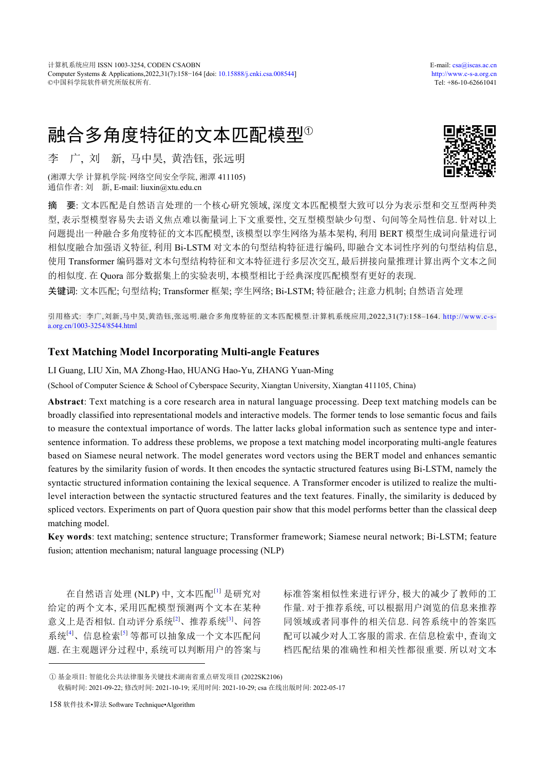# 融合多角度特征的文本匹配模型<sup>①</sup>

李 广, 刘 新, 马中昊, 黄浩钰, 张远明

(湘潭大学 计算机学院·网络空间安全学院, 湘潭 411105) 通信作者: 刘 新, E-mail: liuxin@xtu.edu.cn



摘 要: 文本匹配是自然语言处理的一个核心研究领域, 深度文本匹配模型大致可以分为表示型和交互型两种类 型, 表示型模型容易失去语义焦点难以衡量词上下文重要性, 交互型模型缺少句型、句间等全局性信息. 针对以上 问题提出一种融合多角度特征的文本匹配模型, 该模型以孪生网络为基本架构, 利用 BERT 模型生成词向量进行词 相似度融合加强语义特征, 利用 Bi-LSTM 对文本的句型结构特征进行编码, 即融合文本词性序列的句型结构信息, 使用 Transformer 编码器对文本句型结构特征和文本特征进行多层次交互, 最后拼接向量推理计算出两个文本之间 的相似度. 在 Quora 部分数据集上的实验表明, 本模型相比于经典深度匹配模型有更好的表现.

关键词: 文本匹配; 句型结构; Transformer 框架; 孪生网络; Bi-LSTM; 特征融合; 注意力机制; 自然语言处理

引用格式: 李广,刘新,马中昊,黄浩钰,张远明.融合多角度特征的文本匹配模型.计算机系统应用,2022,31(7):158–164. [http://www.c-s](http://www.c-s-a.org.cn/1003-3254/8544.html)[a.org.cn/1003-3254/8544.html](http://www.c-s-a.org.cn/1003-3254/8544.html)

# **Text Matching Model Incorporating Multi-angle Features**

LI Guang, LIU Xin, MA Zhong-Hao, HUANG Hao-Yu, ZHANG Yuan-Ming

(School of Computer Science & School of Cyberspace Security, Xiangtan University, Xiangtan 411105, China)

**Abstract**: Text matching is a core research area in natural language processing. Deep text matching models can be broadly classified into representational models and interactive models. The former tends to lose semantic focus and fails to measure the contextual importance of words. The latter lacks global information such as sentence type and intersentence information. To address these problems, we propose a text matching model incorporating multi-angle features based on Siamese neural network. The model generates word vectors using the BERT model and enhances semantic features by the similarity fusion of words. It then encodes the syntactic structured features using Bi-LSTM, namely the syntactic structured information containing the lexical sequence. A Transformer encoder is utilized to realize the multilevel interaction between the syntactic structured features and the text features. Finally, the similarity is deduced by spliced vectors. Experiments on part of Quora question pair show that this model performs better than the classical deep matching model.

**Key words**: text matching; sentence structure; Transformer framework; Siamese neural network; Bi-LSTM; feature fusion; attention mechanism; natural language processing (NLP)

在自然语言处理 (NLP) 中, 文本匹配[[1](#page-5-0)] 是研究对 给定的两个文本, 采用匹配模型预测两个文本在某种 意义上是否相似. 自动评分系统<sup>[\[2\]](#page-5-1)</sup>、推荐系统<sup>[[3\]](#page-6-0)</sup>、问答 系统[[4](#page-6-1)]、信息检索[[5](#page-6-2)] 等都可以抽象成一个文本匹配问 题. 在主观题评分过程中, 系统可以判断用户的答案与 标准答案相似性来进行评分, 极大的减少了教师的工 作量. 对于推荐系统, 可以根据用户浏览的信息来推荐 同领域或者同事件的相关信息. 问答系统中的答案匹 配可以减少对人工客服的需求. 在信息检索中, 查询文 档匹配结果的准确性和相关性都很重要. 所以对文本

收稿时间: 2021-09-22; 修改时间: 2021-10-19; 采用时间: 2021-10-29; csa 在线出版时间: 2022-05-17

① 基金项目: 智能化公共法律服务关键技术湖南省重点研发项目 (2022SK2106)

<sup>158</sup> 软件技术•算法 Software Technique•Algorithm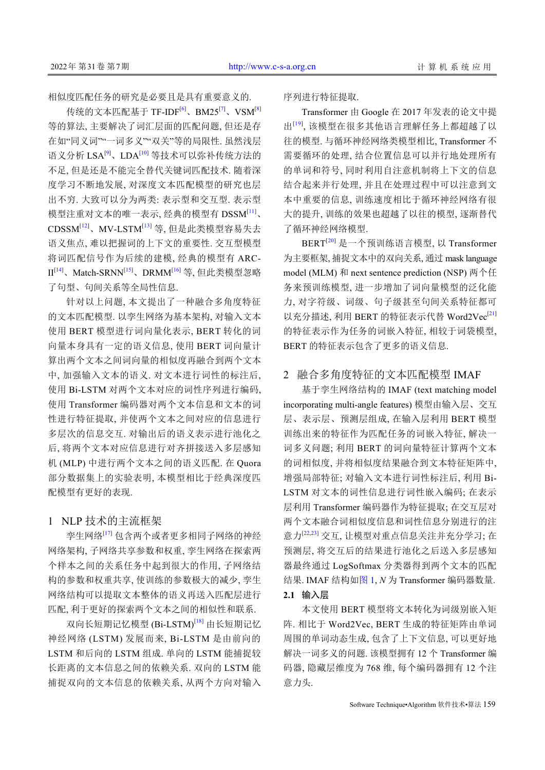相似度匹配任务的研究是必要且是具有重要意义的.

传统的文本匹配基于 TF-IDF<sup>[\[6](#page-6-3)]</sup>、BM25<sup>[\[7](#page-6-4)]</sup>、VSM<sup>[\[8](#page-6-5)]</sup> 等的算法, 主要解决了词汇层面的匹配问题, 但还是存 在如"同义词""一词多义""双关"等的局限性. 虽然浅层 语义分析 LSA<sup>[\[9](#page-6-6)]</sup>、LDA<sup>[\[10](#page-6-7)]</sup> 等技术可以弥补传统方法的 不足, 但是还是不能完全替代关键词匹配技术. 随着深 度学习不断地发展, 对深度文本匹配模型的研究也层 出不穷. 大致可以分为两类: 表示型和交互型. 表示型 模型注重对文本的唯一表示, 经典的模型有 DSSM[[11](#page-6-8)]、 CDSSM[\[12\]](#page-6-9)、MV-LSTM[\[13\]](#page-6-10) 等, 但是此类模型容易失去 语义焦点, 难以把握词的上下文的重要性. 交互型模型 将词匹配信号作为后续的建模, 经典的模型有 ARC-II[\[14](#page-6-11)]、Match-SRNN[\[15\]](#page-6-12)、DRMM[\[16\]](#page-6-13) 等, 但此类模型忽略 了句型、句间关系等全局性信息.

针对以上问题, 本文提出了一种融合多角度特征 的文本匹配模型. 以孪生网络为基本架构, 对输入文本 使用 BERT 模型进行词向量化表示, BERT 转化的词 向量本身具有一定的语义信息, 使用 BERT 词向量计 算出两个文本之间词向量的相似度再融合到两个文本 中, 加强输入文本的语义. 对文本进行词性的标注后, 使用 Bi-LSTM 对两个文本对应的词性序列进行编码, 使用 Transformer 编码器对两个文本信息和文本的词 性进行特征提取, 并使两个文本之间对应的信息进行 多层次的信息交互. 对输出后的语义表示进行池化之 后, 将两个文本对应信息进行对齐拼接送入多层感知 机 (MLP) 中进行两个文本之间的语义匹配. 在 Quora 部分数据集上的实验表明, 本模型相比于经典深度匹 配模型有更好的表现.

## 1 NLP 技术的主流框架

孪生网络[\[17\]](#page-6-14) 包含两个或者更多相同子网络的神经 网络架构, 子网络共享参数和权重, 孪生网络在探索两 个样本之间的关系任务中起到很大的作用, 子网络结 构的参数和权重共享, 使训练的参数极大的减少, 孪生 网络结构可以提取文本整体的语义再送入匹配层进行 匹配, 利于更好的探索两个文本之间的相似性和联系.

双向长短期记忆模型 (Bi-LSTM)<sup>[\[18](#page-6-15)]</sup> 由长短期记忆 神经网络 (LSTM) 发展而来, Bi-LSTM 是由前向的 LSTM 和后向的 LSTM 组成. 单向的 LSTM 能捕捉较 长距离的文本信息之间的依赖关系. 双向的 LSTM 能 捕捉双向的文本信息的依赖关系, 从两个方向对输入

序列进行特征提取.

Transformer 由 Google 在 2017 年发表的论文中提 出[\[19](#page-6-16)], 该模型在很多其他语言理解任务上都超越了以 往的模型. 与循环神经网络类模型相比, Transformer 不 需要循环的处理, 结合位置信息可以并行地处理所有 的单词和符号, 同时利用自注意机制将上下文的信息 结合起来并行处理, 并且在处理过程中可以注意到文 本中重要的信息, 训练速度相比于循环神经网络有很 大的提升, 训练的效果也超越了以往的模型, 逐渐替代 了循环神经网络模型.

BERT[\[20](#page-6-17)] 是一个预训练语言模型, 以 Transformer 为主要框架, 捕捉文本中的双向关系, 通过 mask language model (MLM) 和 next sentence prediction (NSP) 两个任 务来预训练模型, 进一步增加了词向量模型的泛化能 力, 对字符级、词级、句子级甚至句间关系特征都可 以充分描述, 利用 BERT 的特征表示代替 Word2Vec<sup>[[21\]](#page-6-18)</sup> 的特征表示作为任务的词嵌入特征, 相较于词袋模型, BERT 的特征表示包含了更多的语义信息.

# 2 融合多角度特征的文本匹配模型 IMAF

基于孪生网络结构的 IMAF (text matching model incorporating multi-angle features) 模型由输入层、交互 层、表示层、预测层组成, 在输入层利用 BERT 模型 训练出来的特征作为匹配任务的词嵌入特征, 解决一 词多义问题; 利用 BERT 的词向量特征计算两个文本 的词相似度, 并将相似度结果融合到文本特征矩阵中, 增强局部特征; 对输入文本进行词性标注后, 利用 Bi-LSTM 对文本的词性信息进行词性嵌入编码; 在表示 层利用 Transformer 编码器作为特征提取; 在交互层对 两个文本融合词相似度信息和词性信息分别进行的注 意力[[22](#page-6-19),[23](#page-6-20)] 交互, 让模型对重点信息关注并充分学习; 在 预测层, 将交互后的结果进行池化之后送入多层感知 器最终通过 LogSoftmax 分类器得到两个文本的匹配 结果. IMAF 结构[如图](#page-2-0) [1](#page-2-0), *N* 为 Transformer 编码器数量. **2.1** 输入层

本文使用 BERT 模型将文本转化为词级别嵌入矩 阵. 相比于 Word2Vec, BERT 生成的特征矩阵由单词 周围的单词动态生成, 包含了上下文信息, 可以更好地 解决一词多义的问题. 该模型拥有 12 个 Transformer 编 码器, 隐藏层维度为 768 维, 每个编码器拥有 12 个注 意力头.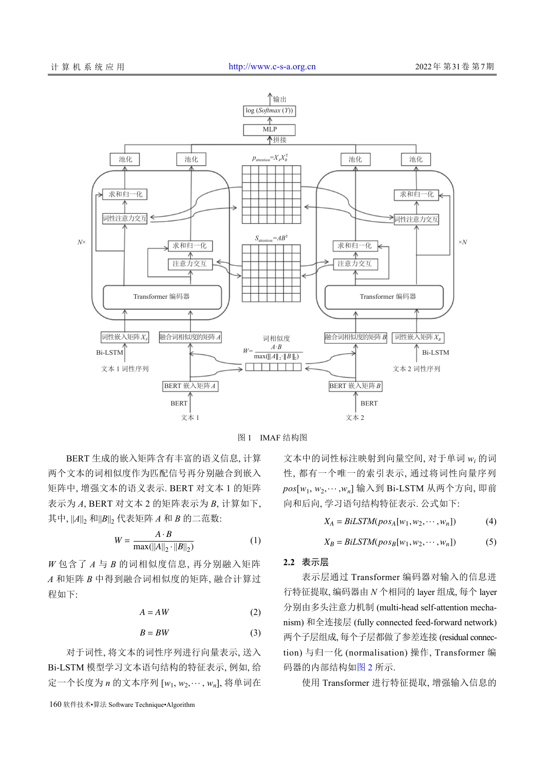

图 1 IMAF 结构图

<span id="page-2-0"></span>BERT 生成的嵌入矩阵含有丰富的语义信息, 计算 两个文本的词相似度作为匹配信号再分别融合到嵌入 矩阵中, 增强文本的语义表示. BERT 对文本 1 的矩阵 表示为 *A*, BERT 对文本 2 的矩阵表示为 *B*, 计算如下, 其中,  $||A||_2$  和 $||B||_2$  代表矩阵  $A$  和  $B$  的二范数:

$$
W = \frac{A \cdot B}{\max(||A||_2 \cdot ||B||_2)}
$$
 (1)

*W* 包含了 *A* 与 *B* 的词相似度信息, 再分别融入矩阵 *A* 和矩阵 *B* 中得到融合词相似度的矩阵, 融合计算过 程如下:

$$
A = AW \tag{2}
$$

$$
B = BW \tag{3}
$$

定一个长度为 *n* 的文本序列 [w<sub>1</sub>, w<sub>2</sub>,…, w<sub>n</sub>], 将单词在 对于词性, 将文本的词性序列进行向量表示, 送入 Bi-LSTM 模型学习文本语句结构的特征表示, 例如, 给

160 软件技术•算法 Software Technique•Algorithm

 $\mathit{pos}[w_1, w_2, \cdots, w_n]$  输入到 Bi-LSTM 从两个方向, 即前 文本中的词性标注映射到向量空间, 对于单词 *w<sup>i</sup>* 的词 性, 都有一个唯一的索引表示, 通过将词性向量序列 向和后向, 学习语句结构特征表示. 公式如下:

$$
X_A = BiLSTM(pos_A[w_1, w_2, \cdots, w_n])
$$
 (4)

$$
X_B = BiLSTM(pos_B[w_1, w_2, \cdots, w_n])
$$
 (5)

#### **2.2** 表示层

表示层通过 Transformer 编码器对输入的信息进 行特征提取, 编码器由 *N* 个相同的 layer 组成, 每个 layer 分别由多头注意力机制 (multi-head self-attention mechanism) 和全连接层 (fully connected feed-forward network) 两个子层组成, 每个子层都做了参差连接 (residual connection) 与归一化 (n[ormal](#page-3-0)isation) 操作, Transformer 编 码器的内部结构如[图](#page-3-0) [2](#page-3-0) 所示.

使用 Transformer 进行特征提取, 增强输入信息的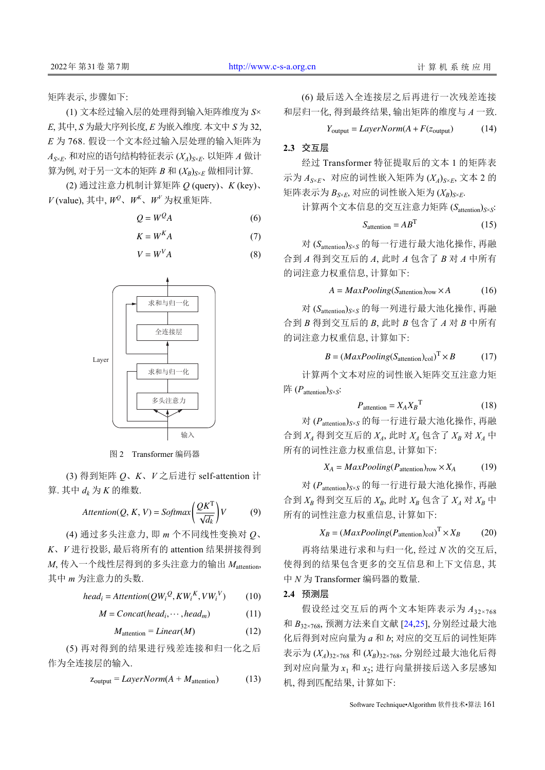矩阵表示, 步骤如下:

(1) 文本经过输入层的处理得到输入矩阵维度为 *S*× *E*, 其中, *S* 为最大序列长度, *E* 为嵌入维度. 本文中 *S* 为 32, *E* 为 768. 假设一个文本经过输入层处理的输入矩阵为 *A<sup>S</sup>*×*<sup>E</sup>*. 和对应的语句结构特征表示 (*XA*)*<sup>S</sup>*×*<sup>E</sup>*. 以矩阵 *A* 做计  $\hat{p}$ 为例, 对于另一文本的矩阵 *B* 和  $(X_R)_{S\times E}$  做相同计算.

(2) 通过注意力机制计算矩阵 *Q* (query)、*K* (key)、  $V$ (value), 其中,  $W^2$ 、 $W^K$ 、 $W^V$  为权重矩阵.

$$
Q = W^Q A \tag{6}
$$

$$
K = W^K A \tag{7}
$$

$$
V = W^V A \tag{8}
$$



图 2 Transformer 编码器

<span id="page-3-0"></span>(3) 得到矩阵 *Q*、*K*、*V* 之后进行 self-attention 计  $[$ 算. 其中  $d_k$  为  $K$  的维数.

$$
Attention(Q, K, V) = Softmax\left(\frac{QK^{T}}{\sqrt{d_k}}\right)V\tag{9}
$$

(4) 通过多头注意力, 即 *m* 个不同线性变换对 *Q*、 *K*、*V* 进行投影, 最后将所有的 attention 结果拼接得到 *M*, 传入一个线性层得到的多头注意力的输出 *M*attention, 其中 *m* 为注意力的头数.

$$
head_i =Attention(QW_i^Q, KW_i^K, VW_i^V)
$$
 (10)

$$
M = Concat(head_i, \cdots, head_m)
$$
 (11)

$$
M_{\text{attention}} = Linear(M) \tag{12}
$$

(5) 再对得到的结果进行残差连接和归一化之后 作为全连接层的输入.

$$
z_{\text{output}} = LayerNorm(A + M_{\text{attention}}) \tag{13}
$$

(6) 最后送入全连接层之后再进行一次残差连接 和层归一化, 得到最终结果, 输出矩阵的维度与 *A* 一致.

$$
Y_{\text{output}} = LayerNorm(A + F(z_{\text{output}}))
$$
 (14)

## **2.3** 交互层

经过 Transformer 特征提取后的文本 1 的矩阵表 示为 *A<sup>S</sup>*×*<sup>E</sup>*、对应的词性嵌入矩阵为 (*XA*)*<sup>S</sup>*×*<sup>E</sup>*, 文本 2 的 矩阵表示为 *B<sup>S</sup>*×*<sup>E</sup>*, 对应的词性嵌入矩为 (*XB*)*<sup>S</sup>*×*<sup>E</sup>*.

计算两个文本信息的交互注意力矩阵 (*S*attention)*<sup>S</sup>*×*<sup>S</sup>* :

$$
S_{\text{attention}} = AB^{\text{T}} \tag{15}
$$

对 (*S*attention)*<sup>S</sup>*×*<sup>S</sup>* 的每一行进行最大池化操作, 再融 合到 *A* 得到交互后的 *A*, 此时 *A* 包含了 *B* 对 *A* 中所有 的词注意力权重信息, 计算如下:

$$
A = MaxPooling(Sattention)row × A
$$
 (16)

对 (*S*attention)*<sup>S</sup>*×*<sup>S</sup>* 的每一列进行最大池化操作, 再融 合到 *B* 得到交互后的 *B*, 此时 *B* 包含了 *A* 对 *B* 中所有 的词注意力权重信息, 计算如下:

$$
B = (MaxPooling(S_{attention})_{col})^T \times B
$$
 (17)

计算两个文本对应的词性嵌入矩阵交互注意力矩 阵 (*P*attention)*<sup>S</sup>*×*<sup>S</sup>* :

$$
P_{\text{attention}} = X_A X_B^{\text{T}} \tag{18}
$$

对 (*P*attention)*<sup>S</sup>*×*<sup>S</sup>* 的每一行进行最大池化操作, 再融 合到 *X<sup>A</sup>* 得到交互后的 *XA*, 此时 *X<sup>A</sup>* 包含了 *X<sup>B</sup>* 对 *X<sup>A</sup>* 中 所有的词性注意力权重信息, 计算如下:

$$
X_A = MaxPooling(P_{attention})_{row} \times X_A \tag{19}
$$

对 (*P*attention)*<sup>S</sup>*×*<sup>S</sup>* 的每一行进行最大池化操作, 再融 合到 *X<sup>B</sup>* 得到交互后的 *XB*, 此时 *X<sup>B</sup>* 包含了 *X<sup>A</sup>* 对 *X<sup>B</sup>* 中 所有的词性注意力权重信息, 计算如下:

$$
X_B = (MaxPooling(P_{attention})_{col})^T \times X_B \tag{20}
$$

再将结果进行求和与归一化, 经过 *N* 次的交互后, 使得到的结果包含更多的交互信息和上下文信息, 其 中 *N* 为 Transformer 编码器的数量.

#### **2.4** 预测层

假设经过交互后的两个文本矩阵表示为  $A_{32\times 768}$ 和 *B*32×768, 预测方法来自文献 [\[24](#page-6-21)[,25](#page-6-22)], 分别经过最大池 化后得到对应向量为 *a* 和 *b*; 对应的交互后的词性矩阵 表示为 (*XA*)32×768 和 (*XB*)32×768, 分别经过最大池化后得 到对应向量为 *x*<sup>1</sup> 和 *x*<sup>2</sup> ; 进行向量拼接后送入多层感知 机, 得到匹配结果, 计算如下: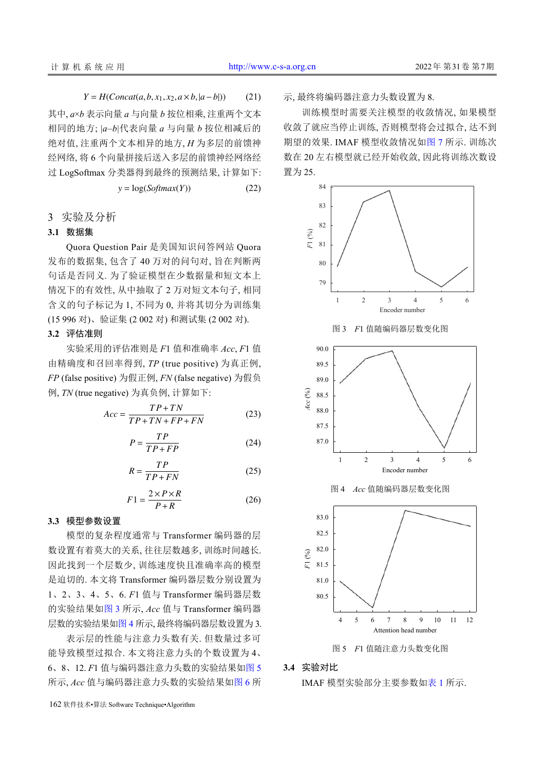$Y = H(Concat(a, b, x_1, x_2, a \times b, |a - b|))$  (21)

其中, *a*×*b* 表示向量 *a* 与向量 *b* 按位相乘, 注重两个文本 相同的地方; |*a*–*b*|代表向量 *a* 与向量 *b* 按位相减后的 绝对值, 注重两个文本相异的地方, *H* 为多层的前馈神 经网络, 将 6 个向量拼接后送入多层的前馈神经网络经 过 LogSoftmax 分类器得到最终的预测结果, 计算如下:

$$
y = \log(Softmax(Y))
$$
 (22)

3 实验及分析

#### **3.1** 数据集

Quora Question Pair 是美国知识问答网站 Quora 发布的数据集, 包含了 40 万对的问句对, 旨在判断两 句话是否同义. 为了验证模型在少数据量和短文本上 情况下的有效性, 从中抽取了 2 万对短文本句子, 相同 含义的句子标记为 1, 不同为 0, 并将其切分为训练集 (15 996 对)、验证集 (2 002 对) 和测试集 (2 002 对).

## **3.2** 评估准则

实验采用的评估准则是 *F*1 值和准确率 *Acc*, *F*1 值 由精确度和召回率得到, *TP* (true positive) 为真正例, *FP* (false positive) 为假正例, *FN* (false negative) 为假负 例, *TN* (true negative) 为真负例, 计算如下:

$$
Acc = \frac{TP + TN}{TP + TN + FP + FN}
$$
 (23)

$$
P = \frac{TP}{TP + FP} \tag{24}
$$

<span id="page-4-1"></span>
$$
R = \frac{TP}{TP + FN} \tag{25}
$$

$$
F1 = \frac{2 \times P \times R}{P + R} \tag{26}
$$

## **3.3** 模型参数设置

模型的复杂程度通常与 Transformer 编码器的层 数设置有着莫大的关系, 往往层数越多, 训练时间越长. 因此找到一个层数少, 训练速度快且准确率高的模型 是迫切的. 本文将 Transformer 编码器层数分别设置为 1、2、3、4、5、6. *F*1 值与 Transformer 编码器层数 的实验结果[如图](#page-4-0) [3](#page-4-0) 所示, *Acc* 值与 Transformer 编码器 层数的实验结果[如图](#page-4-1) [4](#page-4-1) 所示, 最终将编码器层数设置为 3.

表示层的性能与注意力头数有关. 但数量过多可 能导致模型过拟合. 本文将注意力头的个数设置为 4、 6、8、12. *F*1 值与编码器注意力头数的实验结果[如图](#page-4-2) [5](#page-4-2) 所示, *Acc* 值与编码器注意力头数的实验结果[如图](#page-5-2) [6](#page-5-2) 所

162 软件技术•算法 Software Technique•Algorithm

示, 最终将编码器注意力头数设置为 8.

训练模型时需要关注模型的收敛情况, 如果模型 收敛了就应当停止训练, 否则模型将会过拟合, 达不到 期望的效果. IMAF 模型收敛情况如[图](#page-5-3) [7](#page-5-3) 所示. 训练次 数在 20 左右模型就已经开始收敛, 因此将训练次数设 置为 25.

<span id="page-4-0"></span>

#### <span id="page-4-2"></span>**3.4** 实验对比

IMAF 模型实验部分主要参数[如表](#page-5-4) [1](#page-5-4) [所](#page-5-4)示.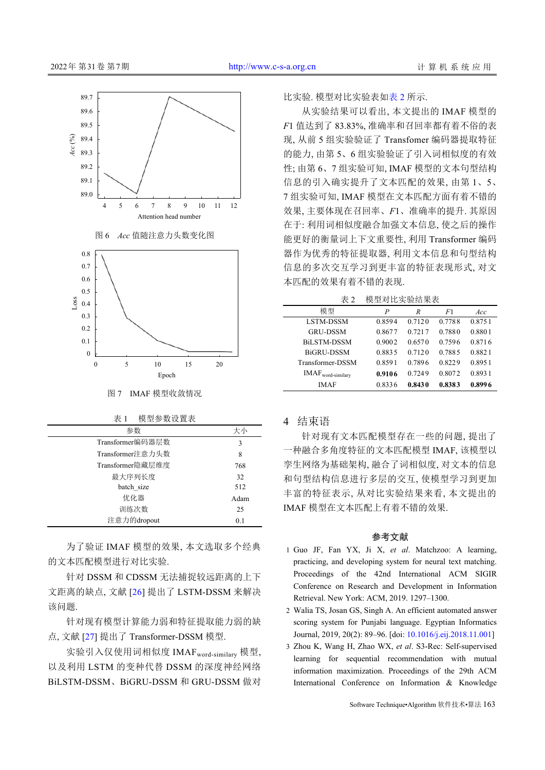<span id="page-5-2"></span>

#### 图 7 IMAF 模型收敛情况

<span id="page-5-4"></span>

| 表 1 | 模型参数设置表 |
|-----|---------|
|     |         |

<span id="page-5-3"></span>

| 参数               | 大小   |
|------------------|------|
| Transformer编码器层数 | 3    |
| Transformer注意力头数 | 8    |
| Transformer隐藏层维度 | 768  |
| 最大序列长度           | 32   |
| batch size       | 512  |
| 优化器              | Adam |
| 训练次数             | 25   |
| 注意力的dropout      | 0.1  |

为了验证 IMAF 模型的效果, 本文选取多个经典 的文本匹配模型进行对比实验.

针对 DSSM 和 C[DS](#page-6-23)SM 无法捕捉较远距离的上下 文距离的缺点, 文献 [[26](#page-6-23)] 提出了 LSTM-DSSM 来解决 该问题.

针对[现有](#page-6-24)模型计算能力弱和特征提取能力弱的缺 点, 文献 [\[27](#page-6-24)] 提出了 Transformer-DSSM 模型.

实验引入仅使用词相似度 IMAFword-similary 模型, 以及利用 LSTM 的变种代替 DSSM 的深度神经网络 BiLSTM-DSSM、BiGRU-DSSM 和 GRU-DSSM 做对 比实验. 模型对比实验[表](#page-5-5)如表 [2](#page-5-5) 所示.

从实验结果可以看出, 本文提出的 IMAF 模型的 *F*1 值达到了 83.83%, 准确率和召回率都有着不俗的表 现, 从前 5 组实验验证了 Transfomer 编码器提取特征 的能力, 由第 5、6 组实验验证了引入词相似度的有效 性; 由第 6、7 组实验可知, IMAF 模型的文本句型结构 信息的引入确实提升了文本匹配的效果, 由第 1、5、 7 组实验可知, IMAF 模型在文本匹配方面有着不错的 效果, 主要体现在召回率、*F*1、准确率的提升. 其原因 在于: 利用词相似度融合加强文本信息, 使之后的操作 能更好的衡量词上下文重要性, 利用 Transformer 编码 器作为优秀的特征提取器, 利用文本信息和句型结构 信息的多次交互学习到更丰富的特征表现形式, 对文 本匹配的效果有着不错的表现.

<span id="page-5-5"></span>表 2 模型对比实验结果表

| 模型                            | P      | R      | F1     | Acc    |  |  |
|-------------------------------|--------|--------|--------|--------|--|--|
| <b>LSTM-DSSM</b>              | 0.8594 | 0.7120 | 0.7788 | 0.8751 |  |  |
| <b>GRU-DSSM</b>               | 0.8677 | 0.7217 | 0.7880 | 0.8801 |  |  |
| <b>BiLSTM-DSSM</b>            | 0.9002 | 0.6570 | 0.7596 | 0.8716 |  |  |
| BiGRU-DSSM                    | 0.8835 | 0.7120 | 0.7885 | 0.8821 |  |  |
| Transformer-DSSM              | 0.8591 | 0.7896 | 0.8229 | 0.8951 |  |  |
| IMAF <sub>word-similary</sub> | 0.9106 | 0.7249 | 0.8072 | 0.8931 |  |  |
| <b>IMAF</b>                   | 0.8336 | 0.8430 | 0.8383 | 0.8996 |  |  |
|                               |        |        |        |        |  |  |

## 4 结束语

针对现有文本匹配模型存在一些的问题, 提出了 一种融合多角度特征的文本匹配模型 IMAF, 该模型以 孪生网络为基础架构, 融合了词相似度, 对文本的信息 和句型结构信息进行多层的交互, 使模型学习到更加 丰富的特征表示, 从对比实验结果来看, 本文提出的 IMAF 模型在文本匹配上有着不错的效果.

#### 参考文献

- 1 Guo JF, Fan YX, Ji X, et al. Matchzoo: A learning, practicing, and developing system for neural text matching. Proceedings of the 42nd International ACM SIGIR Conference on Research and Development in Information Retrieval. New York: ACM, 2019. 1297–1300.
- <span id="page-5-0"></span>Walia TS, Josan GS, Singh A. An efficient automated answer 2 scoring system for Punjabi lang[uage. Egyptian Informatic](http://dx.doi.org/10.1016/j.eij.2018.11.001)s Journal, 2019, 20(2): 89–96. [doi: [10.1016/j.eij.2018.11.001](http://dx.doi.org/10.1016/j.eij.2018.11.001)]
- <span id="page-5-1"></span>3 Zhou K, Wang H, Zhao WX, et al. S3-Rec: Self-supervised learning for sequential recommendation with mutual information maximization. Proceedings of the 29th ACM International Conference on Information & Knowledge